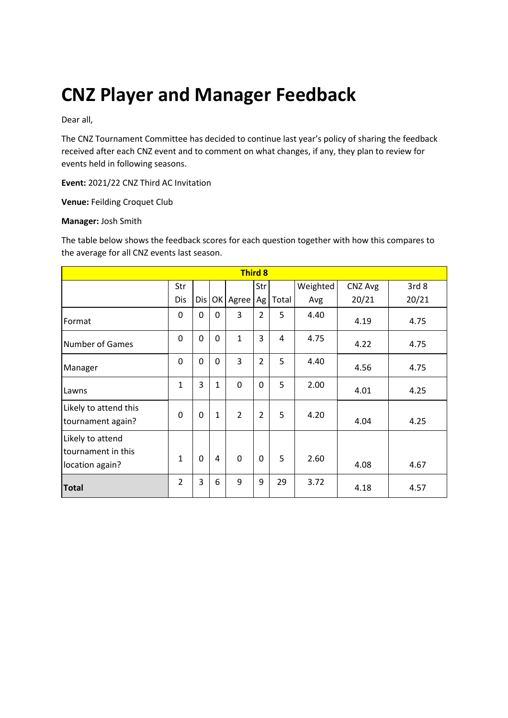# **CNZ Player and Manager Feedback**

Dear all,

The CNZ Tournament Committee has decided to continue last year's policy of sharing the feedback received after each CNZ event and to comment on what changes, if any, they plan to review for events held in following seasons.

**Event:** 2021/22 CNZ Third AC Invitation

**Venue:** Feilding Croquet Club

#### **Manager:** Josh Smith

The table below shows the feedback scores for each question together with how this compares to the average for all CNZ events last season.

| <b>Third 8</b>                                            |                |     |              |                |                |       |          |         |                  |
|-----------------------------------------------------------|----------------|-----|--------------|----------------|----------------|-------|----------|---------|------------------|
|                                                           | Str            |     |              |                | Str            |       | Weighted | CNZ Avg | 3rd <sub>8</sub> |
|                                                           | Dis            | Dis | OK           | Agree          | Ag             | Total | Avg      | 20/21   | 20/21            |
| Format                                                    | 0              | 0   | $\Omega$     | 3              | $\overline{2}$ | 5     | 4.40     | 4.19    | 4.75             |
| <b>Number of Games</b>                                    | 0              | 0   | $\Omega$     | $\mathbf{1}$   | 3              | 4     | 4.75     | 4.22    | 4.75             |
| Manager                                                   | 0              | 0   | $\mathbf 0$  | 3              | $\overline{2}$ | 5     | 4.40     | 4.56    | 4.75             |
| Lawns                                                     | $\mathbf{1}$   | 3   | $\mathbf{1}$ | 0              | $\mathbf 0$    | 5     | 2.00     | 4.01    | 4.25             |
| Likely to attend this<br>tournament again?                | $\Omega$       | 0   | $\mathbf{1}$ | $\overline{2}$ | $\overline{2}$ | 5     | 4.20     | 4.04    | 4.25             |
| Likely to attend<br>tournament in this<br>location again? | $\mathbf{1}$   | 0   | 4            | $\mathbf 0$    | 0              | 5     | 2.60     | 4.08    | 4.67             |
| <b>Total</b>                                              | $\overline{2}$ | 3   | 6            | 9              | 9              | 29    | 3.72     | 4.18    | 4.57             |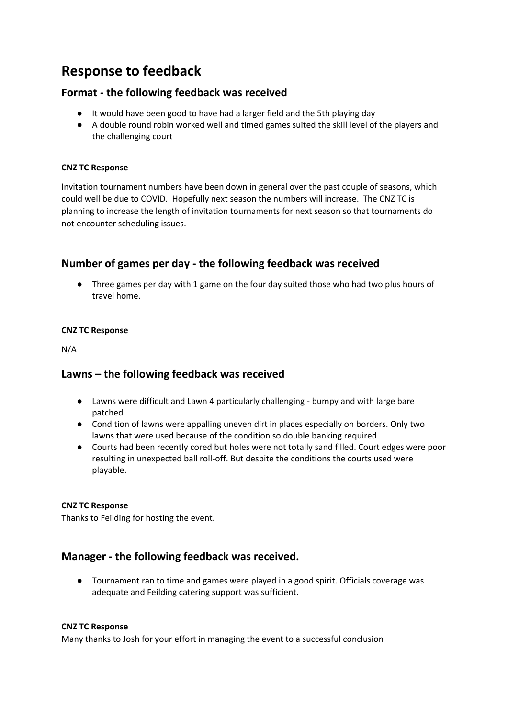# **Response to feedback**

# **Format - the following feedback was received**

- It would have been good to have had a larger field and the 5th playing day
- A double round robin worked well and timed games suited the skill level of the players and the challenging court

#### **CNZ TC Response**

Invitation tournament numbers have been down in general over the past couple of seasons, which could well be due to COVID. Hopefully next season the numbers will increase. The CNZ TC is planning to increase the length of invitation tournaments for next season so that tournaments do not encounter scheduling issues.

# **Number of games per day - the following feedback was received**

● Three games per day with 1 game on the four day suited those who had two plus hours of travel home.

#### **CNZ TC Response**

N/A

# **Lawns – the following feedback was received**

- Lawns were difficult and Lawn 4 particularly challenging bumpy and with large bare patched
- Condition of lawns were appalling uneven dirt in places especially on borders. Only two lawns that were used because of the condition so double banking required
- Courts had been recently cored but holes were not totally sand filled. Court edges were poor resulting in unexpected ball roll-off. But despite the conditions the courts used were playable.

### **CNZ TC Response**

Thanks to Feilding for hosting the event.

# **Manager - the following feedback was received.**

● Tournament ran to time and games were played in a good spirit. Officials coverage was adequate and Feilding catering support was sufficient.

#### **CNZ TC Response**

Many thanks to Josh for your effort in managing the event to a successful conclusion